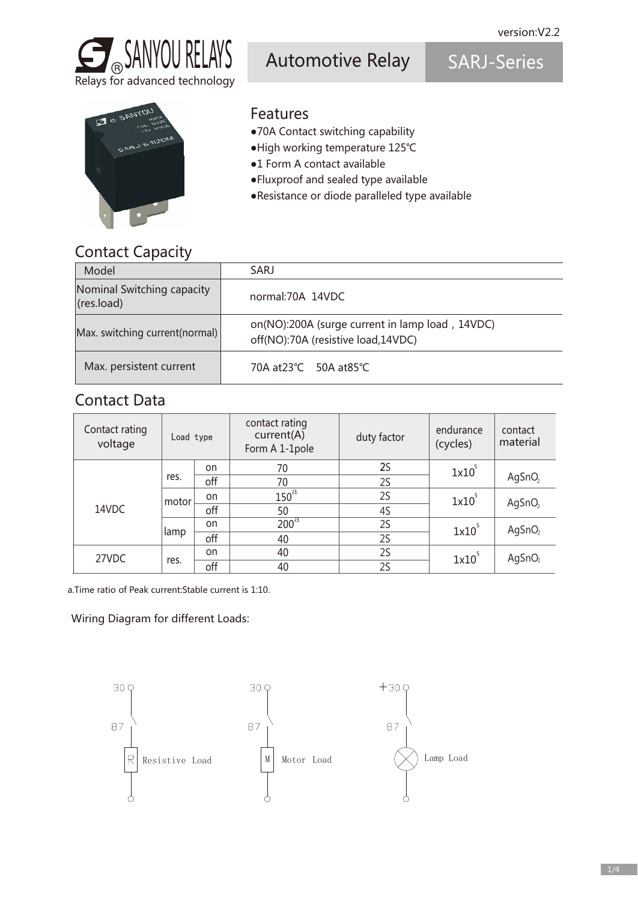

Relays for advanced technology

Automotive Relay SARJ-Series



- Features
- ●70A Contact switching capability
- ●High working temperature 125℃
- ●1 Form A contact available
- ●Fluxproof and sealed type available
- ●Resistance or diode paralleled type available

### Contact Capacity

| Model                                    | SARJ                                                                                  |
|------------------------------------------|---------------------------------------------------------------------------------------|
| Nominal Switching capacity<br>(res.load) | normal:70A 14VDC                                                                      |
| Max. switching current(normal)           | on(NO):200A (surge current in lamp load, 14VDC)<br>off(NO):70A (resistive load,14VDC) |
| Max. persistent current                  | 70A at23℃ 50A at85℃                                                                   |

### Contact Data

| Contact rating<br>voltage | Load type |     | contact rating<br>current(A)<br>Form A 1-1pole | duty factor | endurance<br>(cycles) | contact<br>material |  |
|---------------------------|-----------|-----|------------------------------------------------|-------------|-----------------------|---------------------|--|
|                           |           | on  | 70                                             | <b>2S</b>   | 1x10                  |                     |  |
|                           | res.      | off | 70                                             | 2S          |                       | AgSnO <sub>2</sub>  |  |
|                           | motor     | on  | $150^{\mathrm{a}}$                             | 2S          | 1x10                  | AgSnO <sub>2</sub>  |  |
| 14VDC                     |           | off | 50                                             | 4S          |                       |                     |  |
|                           |           | on  | $200^{\mathrm{a}}$                             | 2S          | 1x10                  | AgSnO <sub>2</sub>  |  |
|                           | lamp      | off | 40                                             | 2S          |                       |                     |  |
| 27VDC                     |           | on  | 40                                             | 2S          | 1x10                  | AgSnO <sub>2</sub>  |  |
|                           | res.      | off | 2S<br>40                                       |             |                       |                     |  |

a.Time ratio of Peak current:Stable current is 1:10.

Wiring Diagram for different Loads:

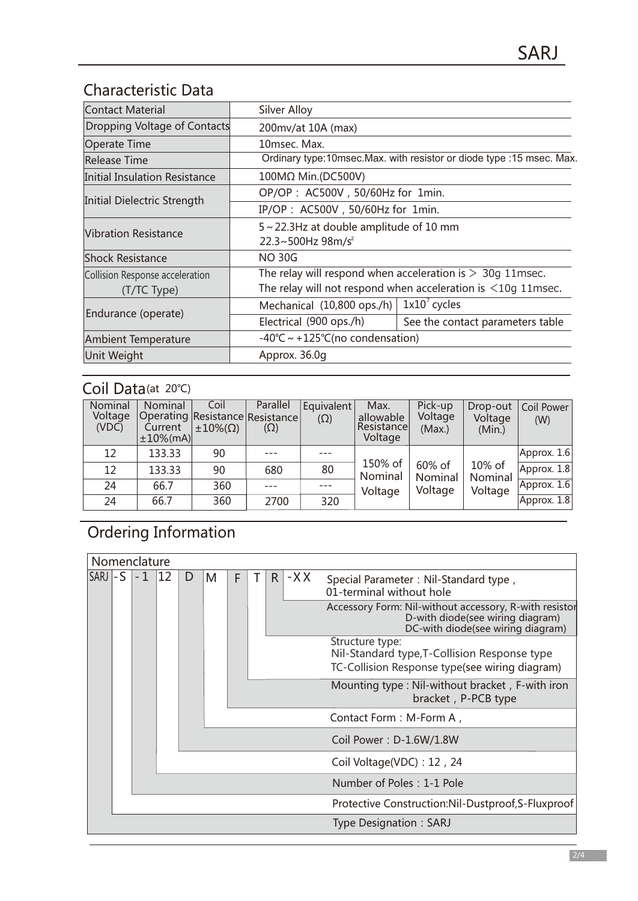## Characteristic Data

| Contact Material                    | Silver Alloy                                                         |                                  |  |  |  |  |
|-------------------------------------|----------------------------------------------------------------------|----------------------------------|--|--|--|--|
| Dropping Voltage of Contacts        | 200mv/at 10A (max)                                                   |                                  |  |  |  |  |
| Operate Time                        | 10msec. Max.                                                         |                                  |  |  |  |  |
| <b>Release Time</b>                 | Ordinary type:10msec.Max. with resistor or diode type :15 msec. Max. |                                  |  |  |  |  |
| Initial Insulation Resistance       | 100MΩ Min.(DC500V)                                                   |                                  |  |  |  |  |
|                                     | OP/OP: AC500V, 50/60Hz for 1min.                                     |                                  |  |  |  |  |
| Initial Dielectric Strength         | IP/OP: AC500V, 50/60Hz for 1min.                                     |                                  |  |  |  |  |
|                                     | 5~22.3Hz at double amplitude of 10 mm                                |                                  |  |  |  |  |
| <b>Vibration Resistance</b>         | 22.3~500Hz $98m/s^2$                                                 |                                  |  |  |  |  |
| <b>Shock Resistance</b>             | <b>NO 30G</b>                                                        |                                  |  |  |  |  |
| Collision Response acceleration     | The relay will respond when acceleration is $>$ 30g 11msec.          |                                  |  |  |  |  |
| (T/TC Type)                         | The relay will not respond when acceleration is $\leq 10$ g 11msec.  |                                  |  |  |  |  |
|                                     | Mechanical (10,800 ops./h)                                           | $1x10^7$ cycles                  |  |  |  |  |
| Endurance (operate)                 | Electrical (900 ops./h)                                              | See the contact parameters table |  |  |  |  |
| <b>Ambient Temperature</b>          |                                                                      | -40°C ~ +125°C(no condensation)  |  |  |  |  |
| Approx. 36.0q<br><b>Unit Weight</b> |                                                                      |                                  |  |  |  |  |

### Coil Data(at 20℃)

| Nominal<br>Voltage<br>(VDC) | Nominal<br>Current<br>$±10%$ (mA) | Coil<br>Operating Resistance Resistance<br>$\pm 10\%$ ( $\Omega$ ) | Parallel<br>$(\Omega)$ | Equivalent<br>$(\Omega)$ | Max.<br>allowable<br>Resistancel<br>Voltage | Pick-up<br>Voltage<br>(Max.) | Drop-out<br>Voltage<br>(Min.) | Coil Power<br>(W) |
|-----------------------------|-----------------------------------|--------------------------------------------------------------------|------------------------|--------------------------|---------------------------------------------|------------------------------|-------------------------------|-------------------|
| 12                          | 133.33                            | 90                                                                 |                        |                          |                                             |                              |                               | Approx. 1.6       |
| 12                          | 133.33                            | 90                                                                 | 680                    | 80                       | 150% of<br>Nominal                          | 60% of<br>Nominal            | 10% of<br>Nominal             | $A$ pprox. 1.8    |
| 24                          | 66.7                              | 360                                                                |                        |                          | Voltage                                     | Voltage                      | Voltage                       | Approx. 1.6       |
| 24                          | 66.7                              | 360                                                                | 2700                   | 320                      |                                             |                              |                               | Approx. 1.8       |

# Ordering Information

|                 |  | Nomenclature |    |   |                         |   |  |                                                   |       |                                                                                                                                 |
|-----------------|--|--------------|----|---|-------------------------|---|--|---------------------------------------------------|-------|---------------------------------------------------------------------------------------------------------------------------------|
| $SARI$ - S $-1$ |  |              | 12 | D | M                       | F |  | R.                                                | $-XX$ | Special Parameter: Nil-Standard type,<br>01-terminal without hole                                                               |
|                 |  |              |    |   |                         |   |  |                                                   |       | Accessory Form: Nil-without accessory, R-with resistor<br>D-with diode(see wiring diagram)<br>DC-with diode(see wiring diagram) |
|                 |  |              |    |   |                         |   |  |                                                   |       | Structure type:<br>Nil-Standard type, T-Collision Response type<br>TC-Collision Response type(see wiring diagram)               |
|                 |  |              |    |   |                         |   |  |                                                   |       | Mounting type : Nil-without bracket, F-with iron<br>bracket, P-PCB type                                                         |
|                 |  |              |    |   |                         |   |  |                                                   |       | Contact Form: M-Form A,                                                                                                         |
|                 |  |              |    |   | Coil Power: D-1.6W/1.8W |   |  |                                                   |       |                                                                                                                                 |
|                 |  |              |    |   |                         |   |  |                                                   |       | Coil Voltage(VDC): 12, 24                                                                                                       |
|                 |  |              |    |   |                         |   |  |                                                   |       | Number of Poles: 1-1 Pole                                                                                                       |
|                 |  |              |    |   |                         |   |  | Protective Construction:Nil-Dustproof,S-Fluxproof |       |                                                                                                                                 |
|                 |  |              |    |   |                         |   |  |                                                   |       | <b>Type Designation: SARJ</b>                                                                                                   |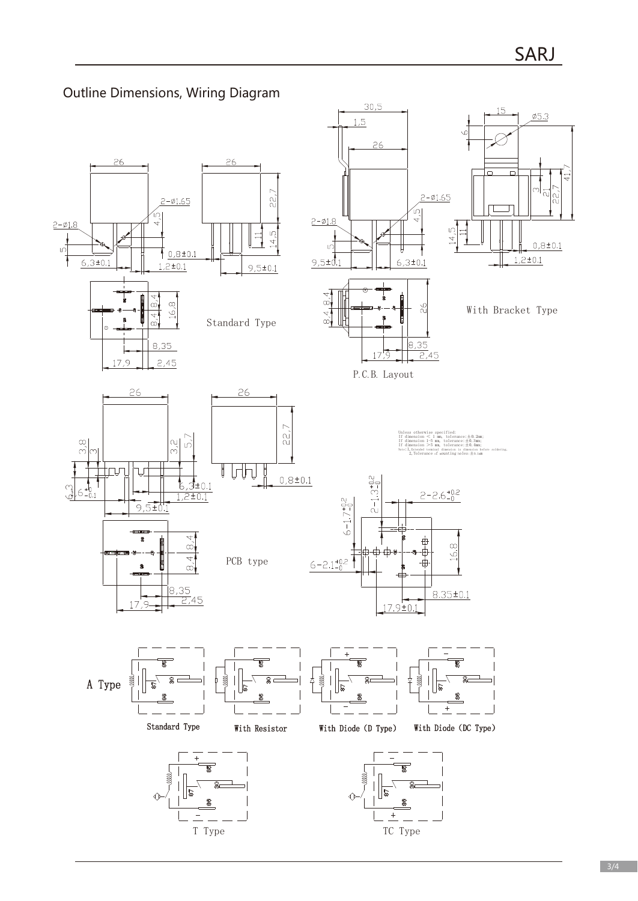

### Outline Dimensions, Wiring Diagram